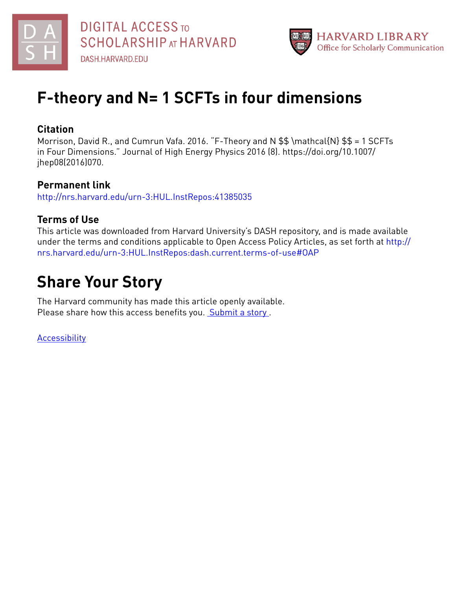



# **F-theory and N= 1 SCFTs in four dimensions**

# **Citation**

Morrison, David R., and Cumrun Vafa. 2016. "F-Theory and N \$\$ \mathcal{N} \$\$ = 1 SCFTs in Four Dimensions." Journal of High Energy Physics 2016 (8). https://doi.org/10.1007/ jhep08(2016)070.

### **Permanent link**

<http://nrs.harvard.edu/urn-3:HUL.InstRepos:41385035>

# **Terms of Use**

This article was downloaded from Harvard University's DASH repository, and is made available under the terms and conditions applicable to Open Access Policy Articles, as set forth at [http://](http://nrs.harvard.edu/urn-3:HUL.InstRepos:dash.current.terms-of-use#OAP) [nrs.harvard.edu/urn-3:HUL.InstRepos:dash.current.terms-of-use#OAP](http://nrs.harvard.edu/urn-3:HUL.InstRepos:dash.current.terms-of-use#OAP)

# **Share Your Story**

The Harvard community has made this article openly available. Please share how this access benefits you. [Submit](http://osc.hul.harvard.edu/dash/open-access-feedback?handle=&title=F-theory%20and%20N=%201%20SCFTs%20in%20four%20dimensions&community=1/1&collection=1/2&owningCollection1/2&harvardAuthors=619c1d1b0166cb0cb9ebeb0a36a7edd5&department) a story .

[Accessibility](https://dash.harvard.edu/pages/accessibility)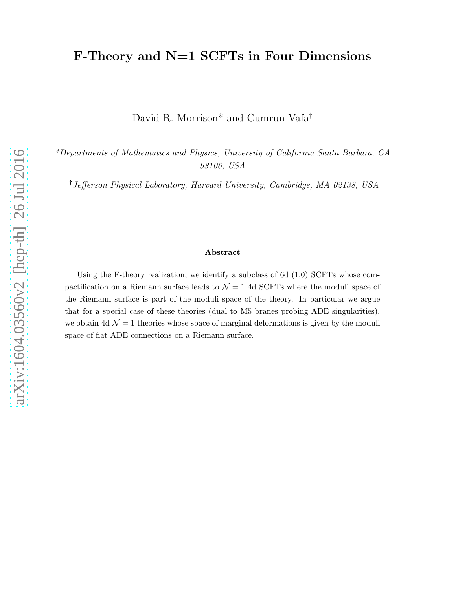# F-Theory and N=1 SCFTs in Four Dimensions

David R. Morrison\* and Cumrun Vafa†

\*Departments of Mathematics and Physics, University of California Santa Barbara, CA 93106, USA

†Jefferson Physical Laboratory, Harvard University, Cambridge, MA 02138, USA

#### Abstract

Using the F-theory realization, we identify a subclass of 6d  $(1,0)$  SCFTs whose compactification on a Riemann surface leads to  $\mathcal{N} = 1$  4d SCFTs where the moduli space of the Riemann surface is part of the moduli space of the theory. In particular we argue that for a special case of these theories (dual to M5 branes probing ADE singularities), we obtain 4d  $\mathcal{N} = 1$  theories whose space of marginal deformations is given by the moduli space of flat ADE connections on a Riemann surface.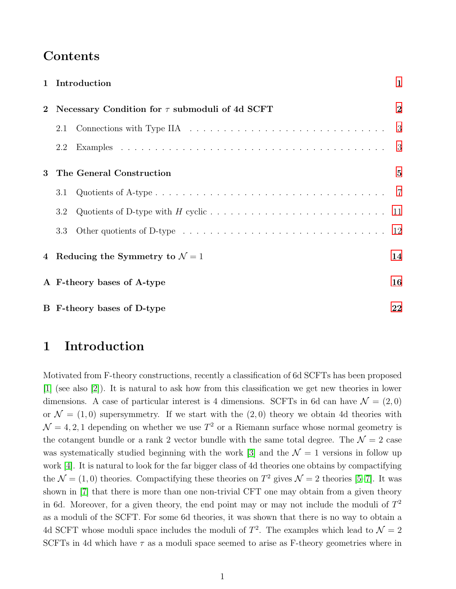# Contents

|                | 1 Introduction                                      | $\mathbf{1}$   |  |  |  |  |  |  |  |
|----------------|-----------------------------------------------------|----------------|--|--|--|--|--|--|--|
| $\overline{2}$ | Necessary Condition for $\tau$ submoduli of 4d SCFT | $\overline{2}$ |  |  |  |  |  |  |  |
|                | 2.1                                                 | 3              |  |  |  |  |  |  |  |
|                | 2.2                                                 | 3              |  |  |  |  |  |  |  |
| 3              | The General Construction                            | $\overline{5}$ |  |  |  |  |  |  |  |
|                | 3.1                                                 |                |  |  |  |  |  |  |  |
|                | 3.2                                                 |                |  |  |  |  |  |  |  |
|                | 3.3                                                 |                |  |  |  |  |  |  |  |
|                | 4 Reducing the Symmetry to $\mathcal{N}=1$          | 14             |  |  |  |  |  |  |  |
|                | A F-theory bases of A-type                          |                |  |  |  |  |  |  |  |
|                | B F-theory bases of D-type                          |                |  |  |  |  |  |  |  |

# <span id="page-2-0"></span>1 Introduction

Motivated from F-theory constructions, recently a classification of 6d SCFTs has been proposed [\[1\]](#page-24-0) (see also [\[2\]](#page-24-1)). It is natural to ask how from this classification we get new theories in lower dimensions. A case of particular interest is 4 dimensions. SCFTs in 6d can have  $\mathcal{N} = (2, 0)$ or  $\mathcal{N} = (1, 0)$  supersymmetry. If we start with the  $(2, 0)$  theory we obtain 4d theories with  $\mathcal{N} = 4, 2, 1$  depending on whether we use  $T^2$  or a Riemann surface whose normal geometry is the cotangent bundle or a rank 2 vector bundle with the same total degree. The  $\mathcal{N}=2$  case was systematically studied beginning with the work [\[3\]](#page-24-2) and the  $\mathcal{N} = 1$  versions in follow up work [\[4\]](#page-24-3). It is natural to look for the far bigger class of 4d theories one obtains by compactifying the  $\mathcal{N} = (1, 0)$  theories. Compactifying these theories on  $T^2$  gives  $\mathcal{N} = 2$  theories [\[5](#page-24-4)-7]. It was shown in [\[7\]](#page-24-5) that there is more than one non-trivial CFT one may obtain from a given theory in 6d. Moreover, for a given theory, the end point may or may not include the moduli of  $T^2$ as a moduli of the SCFT. For some 6d theories, it was shown that there is no way to obtain a 4d SCFT whose moduli space includes the moduli of  $T^2$ . The examples which lead to  $\mathcal{N}=2$ SCFTs in 4d which have  $\tau$  as a moduli space seemed to arise as F-theory geometries where in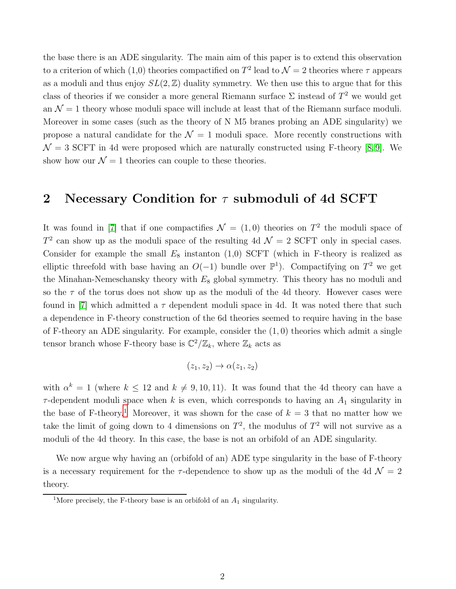the base there is an ADE singularity. The main aim of this paper is to extend this observation to a criterion of which (1,0) theories compactified on  $T^2$  lead to  $\mathcal{N}=2$  theories where  $\tau$  appears as a moduli and thus enjoy  $SL(2, \mathbb{Z})$  duality symmetry. We then use this to argue that for this class of theories if we consider a more general Riemann surface  $\Sigma$  instead of  $T^2$  we would get an  $\mathcal{N} = 1$  theory whose moduli space will include at least that of the Riemann surface moduli. Moreover in some cases (such as the theory of N M5 branes probing an ADE singularity) we propose a natural candidate for the  $\mathcal{N} = 1$  moduli space. More recently constructions with  $\mathcal{N} = 3$  SCFT in 4d were proposed which are naturally constructed using F-theory [\[8,](#page-24-6)9]. We show how our  $\mathcal{N} = 1$  theories can couple to these theories.

# <span id="page-3-0"></span>2 Necessary Condition for  $\tau$  submoduli of 4d SCFT

It was found in [\[7\]](#page-24-5) that if one compactifies  $\mathcal{N} = (1,0)$  theories on  $T^2$  the moduli space of  $T^2$  can show up as the moduli space of the resulting 4d  $\mathcal{N}=2$  SCFT only in special cases. Consider for example the small  $E_8$  instanton (1,0) SCFT (which in F-theory is realized as elliptic threefold with base having an  $O(-1)$  bundle over  $\mathbb{P}^1$ ). Compactifying on  $T^2$  we get the Minahan-Nemeschansky theory with  $E_8$  global symmetry. This theory has no moduli and so the  $\tau$  of the torus does not show up as the moduli of the 4d theory. However cases were found in [\[7\]](#page-24-5) which admitted a  $\tau$  dependent moduli space in 4d. It was noted there that such a dependence in F-theory construction of the 6d theories seemed to require having in the base of F-theory an ADE singularity. For example, consider the  $(1,0)$  theories which admit a single tensor branch whose F-theory base is  $\mathbb{C}^2/\mathbb{Z}_k$ , where  $\mathbb{Z}_k$  acts as

$$
(z_1, z_2) \to \alpha(z_1, z_2)
$$

with  $\alpha^k = 1$  (where  $k \leq 12$  and  $k \neq 9, 10, 11$ ). It was found that the 4d theory can have a  $\tau$ -dependent moduli space when k is even, which corresponds to having an  $A_1$  singularity in the base of F-theory.<sup>[1](#page-3-1)</sup> Moreover, it was shown for the case of  $k = 3$  that no matter how we take the limit of going down to 4 dimensions on  $T^2$ , the modulus of  $T^2$  will not survive as a moduli of the 4d theory. In this case, the base is not an orbifold of an ADE singularity.

We now argue why having an (orbifold of an) ADE type singularity in the base of F-theory is a necessary requirement for the  $\tau$ -dependence to show up as the moduli of the 4d  $\mathcal{N}=2$ theory.

<span id="page-3-1"></span><sup>&</sup>lt;sup>1</sup>More precisely, the F-theory base is an orbifold of an  $A_1$  singularity.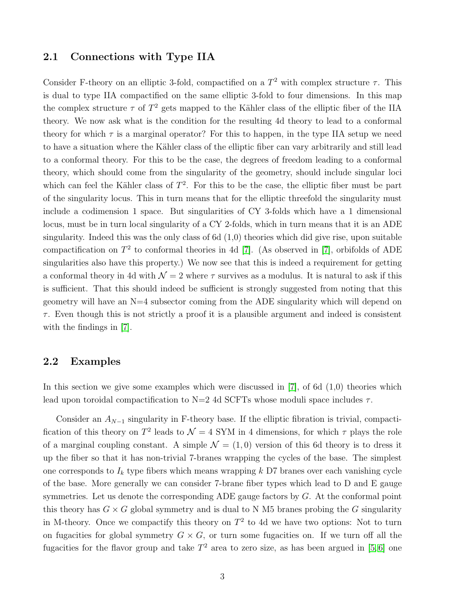#### <span id="page-4-0"></span>2.1 Connections with Type IIA

Consider F-theory on an elliptic 3-fold, compactified on a  $T^2$  with complex structure  $\tau$ . This is dual to type IIA compactified on the same elliptic 3-fold to four dimensions. In this map the complex structure  $\tau$  of  $T^2$  gets mapped to the Kähler class of the elliptic fiber of the IIA theory. We now ask what is the condition for the resulting 4d theory to lead to a conformal theory for which  $\tau$  is a marginal operator? For this to happen, in the type IIA setup we need to have a situation where the Kähler class of the elliptic fiber can vary arbitrarily and still lead to a conformal theory. For this to be the case, the degrees of freedom leading to a conformal theory, which should come from the singularity of the geometry, should include singular loci which can feel the Kähler class of  $T^2$ . For this to be the case, the elliptic fiber must be part of the singularity locus. This in turn means that for the elliptic threefold the singularity must include a codimension 1 space. But singularities of CY 3-folds which have a 1 dimensional locus, must be in turn local singularity of a CY 2-folds, which in turn means that it is an ADE singularity. Indeed this was the only class of 6d  $(1,0)$  theories which did give rise, upon suitable compactification on  $T^2$  to conformal theories in 4d [\[7\]](#page-24-5). (As observed in [7], orbifolds of ADE singularities also have this property.) We now see that this is indeed a requirement for getting a conformal theory in 4d with  $\mathcal{N} = 2$  where  $\tau$  survives as a modulus. It is natural to ask if this is sufficient. That this should indeed be sufficient is strongly suggested from noting that this geometry will have an  $N=4$  subsector coming from the ADE singularity which will depend on  $\tau$ . Even though this is not strictly a proof it is a plausible argument and indeed is consistent with the findings in [\[7\]](#page-24-5).

#### <span id="page-4-1"></span>2.2 Examples

In this section we give some examples which were discussed in  $[7]$ , of 6d  $(1,0)$  theories which lead upon toroidal compactification to  $N=2$  4d SCFTs whose moduli space includes  $\tau$ .

Consider an  $A_{N-1}$  singularity in F-theory base. If the elliptic fibration is trivial, compactification of this theory on  $T^2$  leads to  $\mathcal{N}=4$  SYM in 4 dimensions, for which  $\tau$  plays the role of a marginal coupling constant. A simple  $\mathcal{N} = (1,0)$  version of this 6d theory is to dress it up the fiber so that it has non-trivial 7-branes wrapping the cycles of the base. The simplest one corresponds to  $I_k$  type fibers which means wrapping  $k$  D7 branes over each vanishing cycle of the base. More generally we can consider 7-brane fiber types which lead to D and E gauge symmetries. Let us denote the corresponding ADE gauge factors by  $G$ . At the conformal point this theory has  $G \times G$  global symmetry and is dual to N M5 branes probing the G singularity in M-theory. Once we compactify this theory on  $T^2$  to 4d we have two options: Not to turn on fugacities for global symmetry  $G \times G$ , or turn some fugacities on. If we turn off all the fugacities for the flavor group and take  $T^2$  area to zero size, as has been argued in [\[5,](#page-24-4)6] one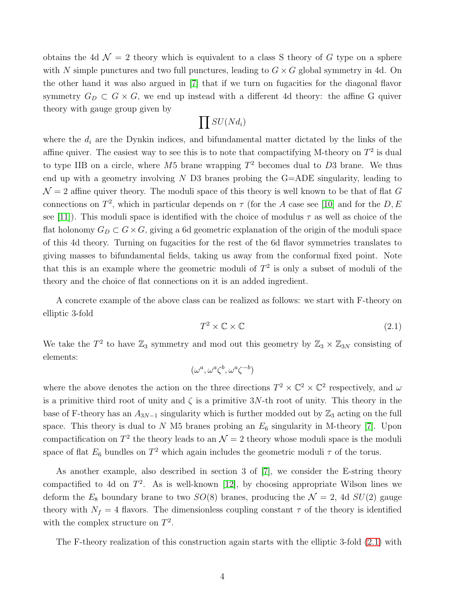obtains the 4d  $\mathcal{N} = 2$  theory which is equivalent to a class S theory of G type on a sphere with N simple punctures and two full punctures, leading to  $G \times G$  global symmetry in 4d. On the other hand it was also argued in [\[7\]](#page-24-5) that if we turn on fugacities for the diagonal flavor symmetry  $G_D \subset G \times G$ , we end up instead with a different 4d theory: the affine G quiver theory with gauge group given by

$$
\prod SU(Nd_i)
$$

where the  $d_i$  are the Dynkin indices, and bifundamental matter dictated by the links of the affine quiver. The easiest way to see this is to note that compactifying M-theory on  $T^2$  is dual to type IIB on a circle, where  $M5$  brane wrapping  $T^2$  becomes dual to D3 brane. We thus end up with a geometry involving  $N$  D3 branes probing the G=ADE singularity, leading to  $\mathcal{N}=2$  affine quiver theory. The moduli space of this theory is well known to be that of flat G connections on  $T^2$ , which in particular depends on  $\tau$  (for the A case see [\[10\]](#page-25-1) and for the D, E see [\[11\]](#page-25-2)). This moduli space is identified with the choice of modulus  $\tau$  as well as choice of the flat holonomy  $G_D \subset G \times G$ , giving a 6d geometric explanation of the origin of the moduli space of this 4d theory. Turning on fugacities for the rest of the 6d flavor symmetries translates to giving masses to bifundamental fields, taking us away from the conformal fixed point. Note that this is an example where the geometric moduli of  $T<sup>2</sup>$  is only a subset of moduli of the theory and the choice of flat connections on it is an added ingredient.

A concrete example of the above class can be realized as follows: we start with F-theory on elliptic 3-fold

<span id="page-5-0"></span>
$$
T^2 \times \mathbb{C} \times \mathbb{C} \tag{2.1}
$$

We take the  $T^2$  to have  $\mathbb{Z}_3$  symmetry and mod out this geometry by  $\mathbb{Z}_3 \times \mathbb{Z}_{3N}$  consisting of elements:

$$
(\omega^a, \omega^a \zeta^b, \omega^a \zeta^{-b})
$$

where the above denotes the action on the three directions  $T^2 \times \mathbb{C}^2 \times \mathbb{C}^2$  respectively, and  $\omega$ is a primitive third root of unity and  $\zeta$  is a primitive 3N-th root of unity. This theory in the base of F-theory has an  $A_{3N-1}$  singularity which is further modded out by  $\mathbb{Z}_3$  acting on the full space. This theory is dual to N M5 branes probing an  $E_6$  singularity in M-theory [\[7\]](#page-24-5). Upon compactification on  $T^2$  the theory leads to an  $\mathcal{N}=2$  theory whose moduli space is the moduli space of flat  $E_6$  bundles on  $T^2$  which again includes the geometric moduli  $\tau$  of the torus.

As another example, also described in section 3 of [\[7\]](#page-24-5), we consider the E-string theory compactified to 4d on  $T^2$ . As is well-known [\[12\]](#page-25-3), by choosing appropriate Wilson lines we deform the  $E_8$  boundary brane to two  $SO(8)$  branes, producing the  $\mathcal{N}=2$ , 4d  $SU(2)$  gauge theory with  $N_f = 4$  flavors. The dimensionless coupling constant  $\tau$  of the theory is identified with the complex structure on  $T^2$ .

The F-theory realization of this construction again starts with the elliptic 3-fold [\(2.1\)](#page-5-0) with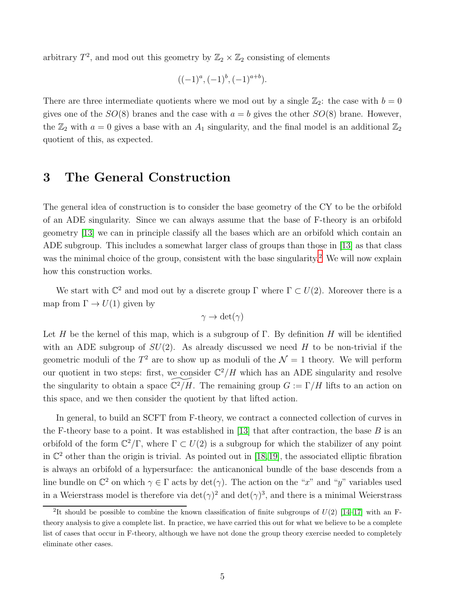arbitrary  $T^2$ , and mod out this geometry by  $\mathbb{Z}_2 \times \mathbb{Z}_2$  consisting of elements

$$
((-1)^a, (-1)^b, (-1)^{a+b}).
$$

There are three intermediate quotients where we mod out by a single  $\mathbb{Z}_2$ : the case with  $b = 0$ gives one of the  $SO(8)$  branes and the case with  $a = b$  gives the other  $SO(8)$  brane. However, the  $\mathbb{Z}_2$  with  $a = 0$  gives a base with an  $A_1$  singularity, and the final model is an additional  $\mathbb{Z}_2$ quotient of this, as expected.

# <span id="page-6-0"></span>3 The General Construction

The general idea of construction is to consider the base geometry of the CY to be the orbifold of an ADE singularity. Since we can always assume that the base of F-theory is an orbifold geometry [\[13\]](#page-25-4) we can in principle classify all the bases which are an orbifold which contain an ADE subgroup. This includes a somewhat larger class of groups than those in [\[13\]](#page-25-4) as that class was the minimal choice of the group, consistent with the base singularity.<sup>[2](#page-6-1)</sup> We will now explain how this construction works.

We start with  $\mathbb{C}^2$  and mod out by a discrete group  $\Gamma$  where  $\Gamma \subset U(2)$ . Moreover there is a map from  $\Gamma \to U(1)$  given by

$$
\gamma \to \det(\gamma)
$$

Let H be the kernel of this map, which is a subgroup of  $\Gamma$ . By definition H will be identified with an ADE subgroup of  $SU(2)$ . As already discussed we need H to be non-trivial if the geometric moduli of the  $T^2$  are to show up as moduli of the  $\mathcal{N}=1$  theory. We will perform our quotient in two steps: first, we consider  $\mathbb{C}^2/H$  which has an ADE singularity and resolve the singularity to obtain a space  $\mathbb{C}^2/H$ . The remaining group  $G := \Gamma/H$  lifts to an action on this space, and we then consider the quotient by that lifted action.

In general, to build an SCFT from F-theory, we contract a connected collection of curves in the F-theory base to a point. It was established in [\[13\]](#page-25-4) that after contraction, the base  $B$  is an orbifold of the form  $\mathbb{C}^2/\Gamma$ , where  $\Gamma \subset U(2)$  is a subgroup for which the stabilizer of any point in  $\mathbb{C}^2$  other than the origin is trivial. As pointed out in [\[18,](#page-25-5)[19\]](#page-25-6), the associated elliptic fibration is always an orbifold of a hypersurface: the anticanonical bundle of the base descends from a line bundle on  $\mathbb{C}^2$  on which  $\gamma \in \Gamma$  acts by  $\det(\gamma)$ . The action on the "x" and "y" variables used in a Weierstrass model is therefore via  $\det(\gamma)^2$  and  $\det(\gamma)^3$ , and there is a minimal Weierstrass

<span id="page-6-1"></span><sup>&</sup>lt;sup>2</sup>It should be possible to combine the known classification of finite subgroups of  $U(2)$  [\[14](#page-25-7)[–17\]](#page-25-8) with an Ftheory analysis to give a complete list. In practice, we have carried this out for what we believe to be a complete list of cases that occur in F-theory, although we have not done the group theory exercise needed to completely eliminate other cases.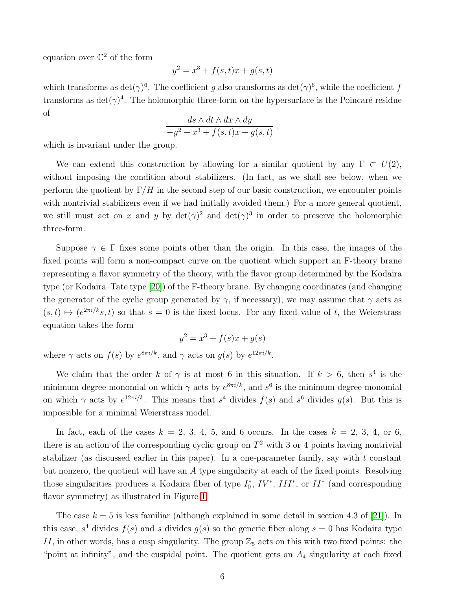equation over  $\mathbb{C}^2$  of the form

$$
y^2 = x^3 + f(s, t)x + g(s, t)
$$

which transforms as  $\det(\gamma)^6$ . The coefficient g also transforms as  $\det(\gamma)^6$ , while the coefficient f transforms as  $\det(\gamma)^4$ . The holomorphic three-form on the hypersurface is the Poincaré residue of

$$
\frac{ds \wedge dt \wedge dx \wedge dy}{-y^2 + x^3 + f(s,t)x + g(s,t)},
$$

which is invariant under the group.

We can extend this construction by allowing for a similar quotient by any  $\Gamma \subset U(2)$ , without imposing the condition about stabilizers. (In fact, as we shall see below, when we perform the quotient by  $\Gamma/H$  in the second step of our basic construction, we encounter points with nontrivial stabilizers even if we had initially avoided them.) For a more general quotient, we still must act on x and y by  $\det(\gamma)^2$  and  $\det(\gamma)^3$  in order to preserve the holomorphic three-form.

Suppose  $\gamma \in \Gamma$  fixes some points other than the origin. In this case, the images of the fixed points will form a non-compact curve on the quotient which support an F-theory brane representing a flavor symmetry of the theory, with the flavor group determined by the Kodaira type (or Kodaira–Tate type [\[20\]](#page-25-9)) of the F-theory brane. By changing coordinates (and changing the generator of the cyclic group generated by  $\gamma$ , if necessary), we may assume that  $\gamma$  acts as  $(s,t) \mapsto (e^{2\pi i/k} s,t)$  so that  $s = 0$  is the fixed locus. For any fixed value of t, the Weierstrass equation takes the form

$$
y^2 = x^3 + f(s)x + g(s)
$$

where  $\gamma$  acts on  $f(s)$  by  $e^{8\pi i/k}$ , and  $\gamma$  acts on  $g(s)$  by  $e^{12\pi i/k}$ .

We claim that the order k of  $\gamma$  is at most 6 in this situation. If  $k > 6$ , then  $s^4$  is the minimum degree monomial on which  $\gamma$  acts by  $e^{8\pi i/k}$ , and  $s^6$  is the minimum degree monomial on which  $\gamma$  acts by  $e^{i2\pi i/k}$ . This means that  $s^4$  divides  $f(s)$  and  $s^6$  divides  $g(s)$ . But this is impossible for a minimal Weierstrass model.

In fact, each of the cases  $k = 2, 3, 4, 5,$  and 6 occurs. In the cases  $k = 2, 3, 4,$  or 6, there is an action of the corresponding cyclic group on  $T^2$  with 3 or 4 points having nontrivial stabilizer (as discussed earlier in this paper). In a one-parameter family, say with  $t$  constant but nonzero, the quotient will have an A type singularity at each of the fixed points. Resolving those singularities produces a Kodaira fiber of type  $I_0^*$ ,  $IV^*$ ,  $III^*$ , or  $II^*$  (and corresponding flavor symmetry) as illustrated in Figure [1.](#page-8-1)

The case  $k = 5$  is less familiar (although explained in some detail in section 4.3 of [\[21\]](#page-25-10)). In this case,  $s^4$  divides  $f(s)$  and s divides  $g(s)$  so the generic fiber along  $s = 0$  has Kodaira type II, in other words, has a cusp singularity. The group  $\mathbb{Z}_5$  acts on this with two fixed points: the "point at infinity", and the cuspidal point. The quotient gets an  $A_4$  singularity at each fixed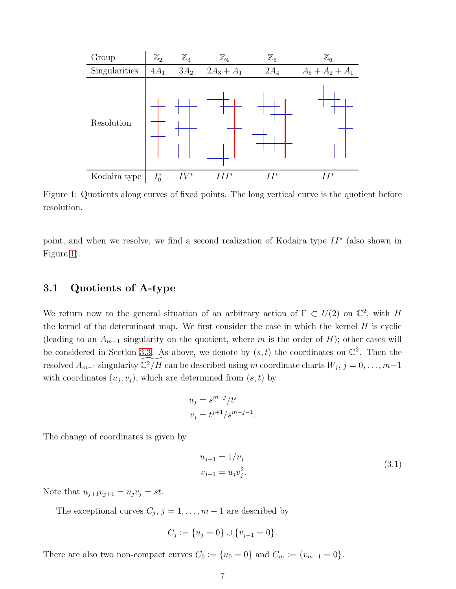

<span id="page-8-1"></span>Figure 1: Quotients along curves of fixed points. The long vertical curve is the quotient before resolution.

<span id="page-8-0"></span>point, and when we resolve, we find a second realization of Kodaira type  $II^*$  (also shown in Figure [1\)](#page-8-1).

#### 3.1 Quotients of A-type

We return now to the general situation of an arbitrary action of  $\Gamma \subset U(2)$  on  $\mathbb{C}^2$ , with H the kernel of the determinant map. We first consider the case in which the kernel  $H$  is cyclic (leading to an  $A_{m-1}$  singularity on the quotient, where m is the order of H); other cases will be considered in Section [3.3.](#page-13-0) As above, we denote by  $(s, t)$  the coordinates on  $\mathbb{C}^2$ . Then the resolved  $A_{m-1}$  singularity  $\widetilde{ {\Bbb C} ^2/H}$  can be described using m coordinate charts  $W_j, j = 0, \ldots, m-1$ with coordinates  $(u_j, v_j)$ , which are determined from  $(s, t)$  by

$$
u_j = s^{m-j}/t^j
$$
  

$$
v_j = t^{j+1}/s^{m-j-1}.
$$

The change of coordinates is given by

<span id="page-8-2"></span>
$$
u_{j+1} = 1/v_j
$$
  

$$
v_{j+1} = u_j v_j^2.
$$
 (3.1)

Note that  $u_{j+1}v_{j+1} = u_jv_j = st$ .

The exceptional curves  $C_j$ ,  $j = 1, \ldots, m - 1$  are described by

$$
C_j := \{u_j = 0\} \cup \{v_{j-1} = 0\}.
$$

There are also two non-compact curves  $C_0 := \{u_0 = 0\}$  and  $C_m := \{v_{m-1} = 0\}.$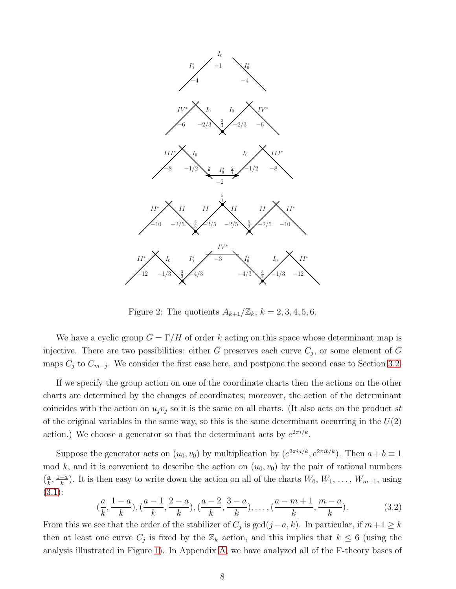

<span id="page-9-1"></span>Figure 2: The quotients  $A_{k+1}/\mathbb{Z}_k$ ,  $k = 2, 3, 4, 5, 6$ .

We have a cyclic group  $G = \Gamma/H$  of order k acting on this space whose determinant map is injective. There are two possibilities: either G preserves each curve  $C_j$ , or some element of G maps  $C_j$  to  $C_{m-j}$ . We consider the first case here, and postpone the second case to Section [3.2.](#page-12-0)

If we specify the group action on one of the coordinate charts then the actions on the other charts are determined by the changes of coordinates; moreover, the action of the determinant coincides with the action on  $u_i v_j$  so it is the same on all charts. (It also acts on the product st of the original variables in the same way, so this is the same determinant occurring in the  $U(2)$ action.) We choose a generator so that the determinant acts by  $e^{2\pi i/k}$ .

Suppose the generator acts on  $(u_0, v_0)$  by multiplication by  $(e^{2\pi i a/k}, e^{2\pi i b/k})$ . Then  $a + b \equiv 1$ mod k, and it is convenient to describe the action on  $(u_0, v_0)$  by the pair of rational numbers  $\left(\frac{a}{k}\right)$  $\frac{a}{k}, \frac{1-a}{k}$  $\frac{-a}{k}$ ). It is then easy to write down the action on all of the charts  $W_0, W_1, \ldots, W_{m-1}$ , using [\(3.1\)](#page-8-2):

<span id="page-9-0"></span>
$$
(\frac{a}{k}, \frac{1-a}{k}), (\frac{a-1}{k}, \frac{2-a}{k}), (\frac{a-2}{k}, \frac{3-a}{k}), \dots, (\frac{a-m+1}{k}, \frac{m-a}{k}).
$$
 (3.2)

From this we see that the order of the stabilizer of  $C_j$  is  $gcd(j-a, k)$ . In particular, if  $m+1 \geq k$ then at least one curve  $C_j$  is fixed by the  $\mathbb{Z}_k$  action, and this implies that  $k \leq 6$  (using the analysis illustrated in Figure [1\)](#page-8-1). In Appendix [A,](#page-17-0) we have analyzed all of the F-theory bases of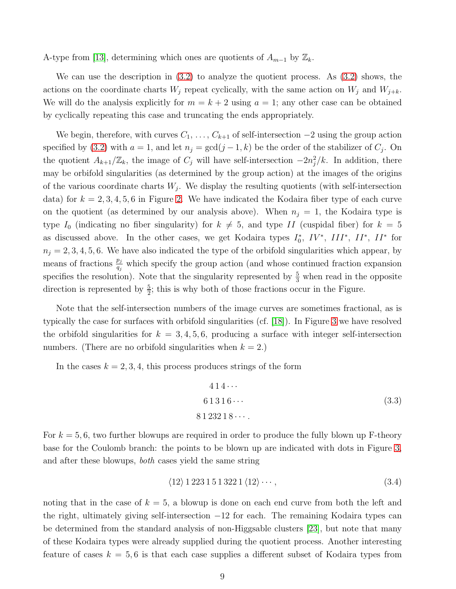A-type from [\[13\]](#page-25-4), determining which ones are quotients of  $A_{m-1}$  by  $\mathbb{Z}_k$ .

We can use the description in [\(3.2\)](#page-9-0) to analyze the quotient process. As [\(3.2\)](#page-9-0) shows, the actions on the coordinate charts  $W_j$  repeat cyclically, with the same action on  $W_j$  and  $W_{j+k}$ . We will do the analysis explicitly for  $m = k + 2$  using  $a = 1$ ; any other case can be obtained by cyclically repeating this case and truncating the ends appropriately.

We begin, therefore, with curves  $C_1, \ldots, C_{k+1}$  of self-intersection  $-2$  using the group action specified by [\(3.2\)](#page-9-0) with  $a = 1$ , and let  $n_j = \gcd(j-1, k)$  be the order of the stabilizer of  $C_j$ . On the quotient  $A_{k+1}/\mathbb{Z}_k$ , the image of  $C_j$  will have self-intersection  $-2n_j^2/k$ . In addition, there may be orbifold singularities (as determined by the group action) at the images of the origins of the various coordinate charts  $W_j$ . We display the resulting quotients (with self-intersection data) for  $k = 2, 3, 4, 5, 6$  in Figure [2.](#page-9-1) We have indicated the Kodaira fiber type of each curve on the quotient (as determined by our analysis above). When  $n<sub>i</sub> = 1$ , the Kodaira type is type  $I_0$  (indicating no fiber singularity) for  $k \neq 5$ , and type II (cuspidal fiber) for  $k = 5$ as discussed above. In the other cases, we get Kodaira types  $I_0^*, IV^*, III^*, II^*, II^*$  for  $n_j = 2, 3, 4, 5, 6$ . We have also indicated the type of the orbifold singularities which appear, by means of fractions  $\frac{p_j}{q_j}$  which specify the group action (and whose continued fraction expansion specifies the resolution). Note that the singularity represented by  $\frac{5}{3}$  when read in the opposite direction is represented by  $\frac{5}{2}$ ; this is why both of those fractions occur in the Figure.

Note that the self-intersection numbers of the image curves are sometimes fractional, as is typically the case for surfaces with orbifold singularities (cf. [\[18\]](#page-25-5)). In Figure [3](#page-11-0) we have resolved the orbifold singularities for  $k = 3, 4, 5, 6$ , producing a surface with integer self-intersection numbers. (There are no orbifold singularities when  $k = 2$ .)

In the cases  $k = 2, 3, 4$ , this process produces strings of the form

$$
414\cdots
$$
  
61316\cdots (3.3)  
8123218\cdots

For  $k = 5, 6$ , two further blowups are required in order to produce the fully blown up F-theory base for the Coulomb branch: the points to be blown up are indicated with dots in Figure [3,](#page-11-0) and after these blowups, both cases yield the same string

$$
\langle 12 \rangle 1 223 1 51 322 1 \langle 12 \rangle \cdots, \tag{3.4}
$$

noting that in the case of  $k = 5$ , a blowup is done on each end curve from both the left and the right, ultimately giving self-intersection −12 for each. The remaining Kodaira types can be determined from the standard analysis of non-Higgsable clusters [\[23\]](#page-26-0), but note that many of these Kodaira types were already supplied during the quotient process. Another interesting feature of cases  $k = 5, 6$  is that each case supplies a different subset of Kodaira types from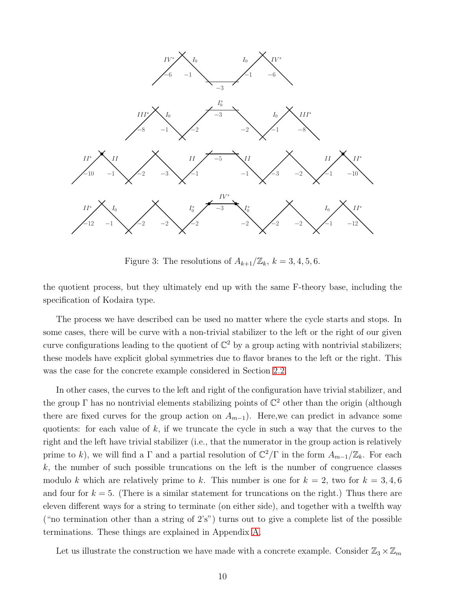

<span id="page-11-0"></span>Figure 3: The resolutions of  $A_{k+1}/\mathbb{Z}_k$ ,  $k = 3, 4, 5, 6$ .

the quotient process, but they ultimately end up with the same F-theory base, including the specification of Kodaira type.

The process we have described can be used no matter where the cycle starts and stops. In some cases, there will be curve with a non-trivial stabilizer to the left or the right of our given curve configurations leading to the quotient of  $\mathbb{C}^2$  by a group acting with nontrivial stabilizers; these models have explicit global symmetries due to flavor branes to the left or the right. This was the case for the concrete example considered in Section [2.2.](#page-4-1)

In other cases, the curves to the left and right of the configuration have trivial stabilizer, and the group  $\Gamma$  has no nontrivial elements stabilizing points of  $\mathbb{C}^2$  other than the origin (although there are fixed curves for the group action on  $A_{m-1}$ ). Here, we can predict in advance some quotients: for each value of  $k$ , if we truncate the cycle in such a way that the curves to the right and the left have trivial stabilizer (i.e., that the numerator in the group action is relatively prime to k), we will find a  $\Gamma$  and a partial resolution of  $\mathbb{C}^2/\Gamma$  in the form  $A_{m-1}/\mathbb{Z}_k$ . For each  $k$ , the number of such possible truncations on the left is the number of congruence classes modulo k which are relatively prime to k. This number is one for  $k = 2$ , two for  $k = 3, 4, 6$ and four for  $k = 5$ . (There is a similar statement for truncations on the right.) Thus there are eleven different ways for a string to terminate (on either side), and together with a twelfth way ("no termination other than a string of 2's") turns out to give a complete list of the possible terminations. These things are explained in Appendix [A.](#page-17-0)

Let us illustrate the construction we have made with a concrete example. Consider  $\mathbb{Z}_3 \times \mathbb{Z}_m$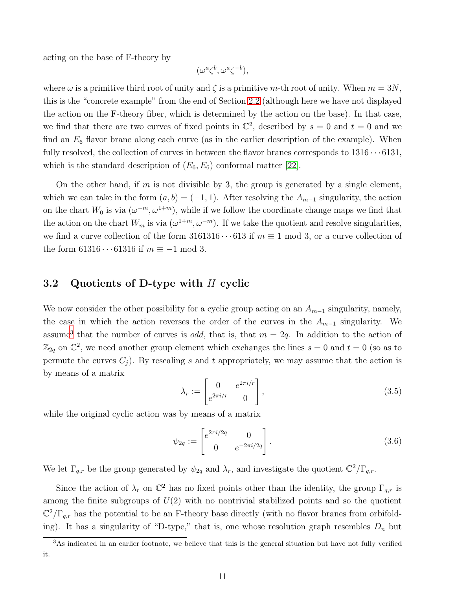acting on the base of F-theory by

$$
(\omega^a \zeta^b, \omega^a \zeta^{-b}),
$$

where  $\omega$  is a primitive third root of unity and  $\zeta$  is a primitive m-th root of unity. When  $m = 3N$ , this is the "concrete example" from the end of Section [2.2](#page-4-1) (although here we have not displayed the action on the F-theory fiber, which is determined by the action on the base). In that case, we find that there are two curves of fixed points in  $\mathbb{C}^2$ , described by  $s = 0$  and  $t = 0$  and we find an  $E_6$  flavor brane along each curve (as in the earlier description of the example). When fully resolved, the collection of curves in between the flavor branes corresponds to  $1316 \cdots 6131$ , which is the standard description of  $(E_6, E_6)$  conformal matter [\[22\]](#page-26-1).

On the other hand, if m is not divisible by 3, the group is generated by a single element, which we can take in the form  $(a, b) = (-1, 1)$ . After resolving the  $A_{m-1}$  singularity, the action on the chart  $W_0$  is via  $(\omega^{-m}, \omega^{1+m})$ , while if we follow the coordinate change maps we find that the action on the chart  $W_m$  is via  $(\omega^{1+m}, \omega^{-m})$ . If we take the quotient and resolve singularities, we find a curve collection of the form  $3161316 \cdots 613$  if  $m \equiv 1 \mod 3$ , or a curve collection of the form 61316 $\cdots$ 61316 if  $m \equiv -1 \mod 3$ .

#### <span id="page-12-0"></span>3.2 Quotients of D-type with H cyclic

We now consider the other possibility for a cyclic group acting on an  $A_{m-1}$  singularity, namely, the case in which the action reverses the order of the curves in the  $A_{m-1}$  singularity. We assume<sup>[3](#page-12-1)</sup> that the number of curves is *odd*, that is, that  $m = 2q$ . In addition to the action of  $\mathbb{Z}_{2q}$  on  $\mathbb{C}^2$ , we need another group element which exchanges the lines  $s = 0$  and  $t = 0$  (so as to permute the curves  $C_i$ ). By rescaling s and t appropriately, we may assume that the action is by means of a matrix

$$
\lambda_r := \begin{bmatrix} 0 & e^{2\pi i/r} \\ e^{2\pi i/r} & 0 \end{bmatrix},\tag{3.5}
$$

while the original cyclic action was by means of a matrix

<span id="page-12-2"></span>
$$
\psi_{2q} := \begin{bmatrix} e^{2\pi i/2q} & 0\\ 0 & e^{-2\pi i/2q} \end{bmatrix} . \tag{3.6}
$$

We let  $\Gamma_{q,r}$  be the group generated by  $\psi_{2q}$  and  $\lambda_r$ , and investigate the quotient  $\mathbb{C}^2/\Gamma_{q,r}$ .

Since the action of  $\lambda_r$  on  $\mathbb{C}^2$  has no fixed points other than the identity, the group  $\Gamma_{q,r}$  is among the finite subgroups of  $U(2)$  with no nontrivial stabilized points and so the quotient  $\mathbb{C}^2/\Gamma_{q,r}$  has the potential to be an F-theory base directly (with no flavor branes from orbifolding). It has a singularity of "D-type," that is, one whose resolution graph resembles  $D_n$  but

<span id="page-12-1"></span><sup>&</sup>lt;sup>3</sup>As indicated in an earlier footnote, we believe that this is the general situation but have not fully verified it.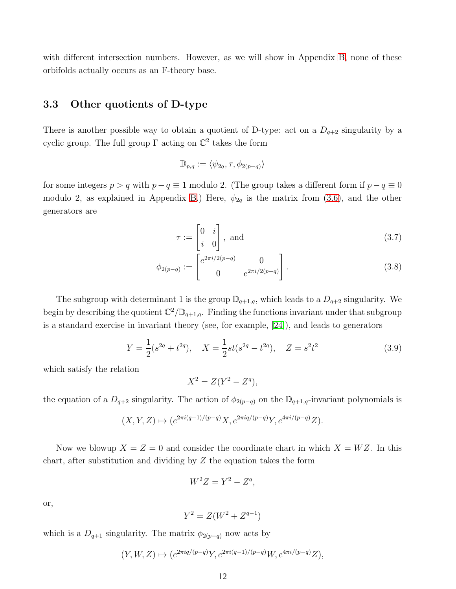<span id="page-13-0"></span>with different intersection numbers. However, as we will show in Appendix [B,](#page-23-0) none of these orbifolds actually occurs as an F-theory base.

#### 3.3 Other quotients of D-type

There is another possible way to obtain a quotient of D-type: act on a  $D_{q+2}$  singularity by a cyclic group. The full group  $\Gamma$  acting on  $\mathbb{C}^2$  takes the form

$$
\mathbb{D}_{p,q} := \langle \psi_{2q}, \tau, \phi_{2(p-q)} \rangle
$$

for some integers  $p > q$  with  $p - q \equiv 1$  modulo 2. (The group takes a different form if  $p - q \equiv 0$ modulo 2, as explained in Appendix [B.](#page-23-0)) Here,  $\psi_{2q}$  is the matrix from [\(3.6\)](#page-12-2), and the other generators are

$$
\tau := \begin{bmatrix} 0 & i \\ i & 0 \end{bmatrix}, \text{ and } (3.7)
$$

$$
\phi_{2(p-q)} := \begin{bmatrix} e^{2\pi i/2(p-q)} & 0\\ 0 & e^{2\pi i/2(p-q)} \end{bmatrix} . \tag{3.8}
$$

The subgroup with determinant 1 is the group  $\mathbb{D}_{q+1,q}$ , which leads to a  $D_{q+2}$  singularity. We begin by describing the quotient  $\mathbb{C}^2/\mathbb{D}_{q+1,q}$ . Finding the functions invariant under that subgroup is a standard exercise in invariant theory (see, for example, [\[24\]](#page-26-2)), and leads to generators

$$
Y = \frac{1}{2}(s^{2q} + t^{2q}), \quad X = \frac{1}{2}st(s^{2q} - t^{2q}), \quad Z = s^2t^2
$$
\n(3.9)

which satisfy the relation

$$
X^2 = Z(Y^2 - Z^q),
$$

the equation of a  $D_{q+2}$  singularity. The action of  $\phi_{2(p-q)}$  on the  $\mathbb{D}_{q+1,q}$ -invariant polynomials is

$$
(X,Y,Z)\mapsto (e^{2\pi i (q+1)/(p-q)}X,e^{2\pi iq/(p-q)}Y,e^{4\pi i/(p-q)}Z).
$$

Now we blowup  $X = Z = 0$  and consider the coordinate chart in which  $X = WZ$ . In this chart, after substitution and dividing by  $Z$  the equation takes the form

$$
W^2 Z = Y^2 - Z^q,
$$

or,

$$
Y^2 = Z(W^2 + Z^{q-1})
$$

which is a  $D_{q+1}$  singularity. The matrix  $\phi_{2(p-q)}$  now acts by

$$
(Y, W, Z) \mapsto (e^{2\pi i q/(p-q)}Y, e^{2\pi i (q-1)/(p-q)}W, e^{4\pi i/(p-q)}Z),
$$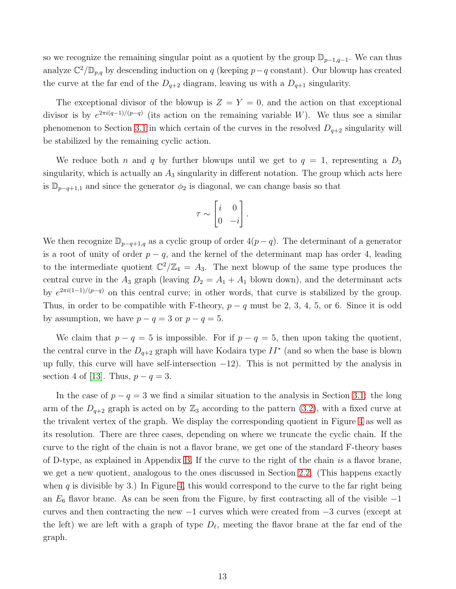so we recognize the remaining singular point as a quotient by the group  $\mathbb{D}_{p-1,q-1}$ . We can thus analyze  $\mathbb{C}^2/\mathbb{D}_{p,q}$  by descending induction on q (keeping p-q constant). Our blowup has created the curve at the far end of the  $D_{q+2}$  diagram, leaving us with a  $D_{q+1}$  singularity.

The exceptional divisor of the blowup is  $Z = Y = 0$ , and the action on that exceptional divisor is by  $e^{2\pi i(q-1)/(p-q)}$  (its action on the remaining variable W). We thus see a similar phenomenon to Section [3.1](#page-8-0) in which certain of the curves in the resolved  $D_{q+2}$  singularity will be stabilized by the remaining cyclic action.

We reduce both n and q by further blowups until we get to  $q = 1$ , representing a  $D_3$ singularity, which is actually an  $A_3$  singularity in different notation. The group which acts here is  $\mathbb{D}_{p-q+1,1}$  and since the generator  $\phi_2$  is diagonal, we can change basis so that

$$
\tau \sim \begin{bmatrix} i & 0 \\ 0 & -i \end{bmatrix}.
$$

We then recognize  $\mathbb{D}_{p-q+1,q}$  as a cyclic group of order  $4(p-q)$ . The determinant of a generator is a root of unity of order  $p - q$ , and the kernel of the determinant map has order 4, leading to the intermediate quotient  $\mathbb{C}^2/\mathbb{Z}_4 = A_3$ . The next blowup of the same type produces the central curve in the  $A_3$  graph (leaving  $D_2 = A_1 + A_1$  blown down), and the determinant acts by  $e^{2\pi i(1-1)/(p-q)}$  on this central curve; in other words, that curve is stabilized by the group. Thus, in order to be compatible with F-theory,  $p - q$  must be 2, 3, 4, 5, or 6. Since it is odd by assumption, we have  $p - q = 3$  or  $p - q = 5$ .

We claim that  $p - q = 5$  is impossible. For if  $p - q = 5$ , then upon taking the quotient, the central curve in the  $D_{q+2}$  graph will have Kodaira type  $II^*$  (and so when the base is blown up fully, this curve will have self-intersection  $-12$ ). This is not permitted by the analysis in section 4 of [\[13\]](#page-25-4). Thus,  $p - q = 3$ .

In the case of  $p - q = 3$  we find a similar situation to the analysis in Section [3.1:](#page-8-0) the long arm of the  $D_{q+2}$  graph is acted on by  $\mathbb{Z}_3$  according to the pattern [\(3.2\)](#page-9-0), with a fixed curve at the trivalent vertex of the graph. We display the corresponding quotient in Figure [4](#page-15-1) as well as its resolution. There are three cases, depending on where we truncate the cyclic chain. If the curve to the right of the chain is not a flavor brane, we get one of the standard F-theory bases of D-type, as explained in Appendix [B.](#page-23-0) If the curve to the right of the chain is a flavor brane, we get a new quotient, analogous to the ones discussed in Section [2.2.](#page-4-1) (This happens exactly when q is divisible by 3.) In Figure [4,](#page-15-1) this would correspond to the curve to the far right being an  $E_6$  flavor brane. As can be seen from the Figure, by first contracting all of the visible  $-1$ curves and then contracting the new −1 curves which were created from −3 curves (except at the left) we are left with a graph of type  $D_{\ell}$ , meeting the flavor brane at the far end of the graph.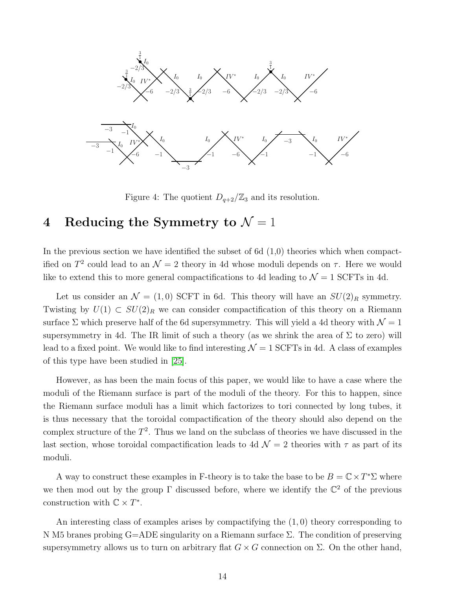

<span id="page-15-1"></span>Figure 4: The quotient  $D_{q+2}/\mathbb{Z}_3$  and its resolution.

# <span id="page-15-0"></span>4 Reducing the Symmetry to  $\mathcal{N}=1$

In the previous section we have identified the subset of 6d  $(1,0)$  theories which when compactified on  $T^2$  could lead to an  $\mathcal{N}=2$  theory in 4d whose moduli depends on  $\tau$ . Here we would like to extend this to more general compactifications to 4d leading to  $\mathcal{N} = 1$  SCFTs in 4d.

Let us consider an  $\mathcal{N} = (1,0)$  SCFT in 6d. This theory will have an  $SU(2)_R$  symmetry. Twisting by  $U(1) \subset SU(2)_R$  we can consider compactification of this theory on a Riemann surface  $\Sigma$  which preserve half of the 6d supersymmetry. This will yield a 4d theory with  $\mathcal{N} = 1$ supersymmetry in 4d. The IR limit of such a theory (as we shrink the area of  $\Sigma$  to zero) will lead to a fixed point. We would like to find interesting  $\mathcal{N} = 1$  SCFTs in 4d. A class of examples of this type have been studied in [\[25\]](#page-26-3).

However, as has been the main focus of this paper, we would like to have a case where the moduli of the Riemann surface is part of the moduli of the theory. For this to happen, since the Riemann surface moduli has a limit which factorizes to tori connected by long tubes, it is thus necessary that the toroidal compactification of the theory should also depend on the complex structure of the  $T^2$ . Thus we land on the subclass of theories we have discussed in the last section, whose toroidal compactification leads to 4d  $\mathcal{N}=2$  theories with  $\tau$  as part of its moduli.

A way to construct these examples in F-theory is to take the base to be  $B = \mathbb{C} \times T^* \Sigma$  where we then mod out by the group  $\Gamma$  discussed before, where we identify the  $\mathbb{C}^2$  of the previous construction with  $\mathbb{C} \times T^*$ .

An interesting class of examples arises by compactifying the (1, 0) theory corresponding to N M5 branes probing G=ADE singularity on a Riemann surface Σ. The condition of preserving supersymmetry allows us to turn on arbitrary flat  $G \times G$  connection on  $\Sigma$ . On the other hand,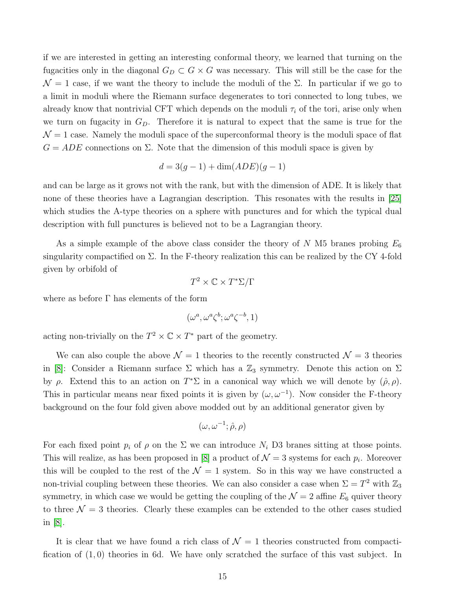if we are interested in getting an interesting conformal theory, we learned that turning on the fugacities only in the diagonal  $G_D \subset G \times G$  was necessary. This will still be the case for the  $\mathcal{N}=1$  case, if we want the theory to include the moduli of the  $\Sigma$ . In particular if we go to a limit in moduli where the Riemann surface degenerates to tori connected to long tubes, we already know that nontrivial CFT which depends on the moduli  $\tau_i$  of the tori, arise only when we turn on fugacity in  $G_D$ . Therefore it is natural to expect that the same is true for the  $\mathcal{N} = 1$  case. Namely the moduli space of the superconformal theory is the moduli space of flat  $G = ADE$  connections on  $\Sigma$ . Note that the dimension of this moduli space is given by

$$
d = 3(g - 1) + \dim(ADE)(g - 1)
$$

and can be large as it grows not with the rank, but with the dimension of ADE. It is likely that none of these theories have a Lagrangian description. This resonates with the results in [\[25\]](#page-26-3) which studies the A-type theories on a sphere with punctures and for which the typical dual description with full punctures is believed not to be a Lagrangian theory.

As a simple example of the above class consider the theory of  $N$  M5 branes probing  $E_6$ singularity compactified on  $\Sigma$ . In the F-theory realization this can be realized by the CY 4-fold given by orbifold of

$$
T^2 \times \mathbb{C} \times T^* \Sigma / \Gamma
$$

where as before  $\Gamma$  has elements of the form

$$
(\omega^a, \omega^a \zeta^b; \omega^a \zeta^{-b}, 1)
$$

acting non-trivially on the  $T^2 \times \mathbb{C} \times T^*$  part of the geometry.

We can also couple the above  $\mathcal{N} = 1$  theories to the recently constructed  $\mathcal{N} = 3$  theories in [\[8\]](#page-24-6): Consider a Riemann surface  $\Sigma$  which has a  $\mathbb{Z}_3$  symmetry. Denote this action on  $\Sigma$ by  $\rho$ . Extend this to an action on  $T^*\Sigma$  in a canonical way which we will denote by  $(\hat{\rho}, \rho)$ . This in particular means near fixed points it is given by  $(\omega, \omega^{-1})$ . Now consider the F-theory background on the four fold given above modded out by an additional generator given by

$$
(\omega, \omega^{-1}; \hat{\rho}, \rho)
$$

For each fixed point  $p_i$  of  $\rho$  on the  $\Sigma$  we can introduce  $N_i$  D3 branes sitting at those points. This will realize, as has been proposed in [\[8\]](#page-24-6) a product of  $\mathcal{N}=3$  systems for each  $p_i$ . Moreover this will be coupled to the rest of the  $\mathcal{N} = 1$  system. So in this way we have constructed a non-trivial coupling between these theories. We can also consider a case when  $\Sigma = T^2$  with  $\mathbb{Z}_3$ symmetry, in which case we would be getting the coupling of the  $\mathcal{N} = 2$  affine  $E_6$  quiver theory to three  $\mathcal{N} = 3$  theories. Clearly these examples can be extended to the other cases studied in [\[8\]](#page-24-6).

It is clear that we have found a rich class of  $\mathcal{N} = 1$  theories constructed from compactification of  $(1,0)$  theories in 6d. We have only scratched the surface of this vast subject. In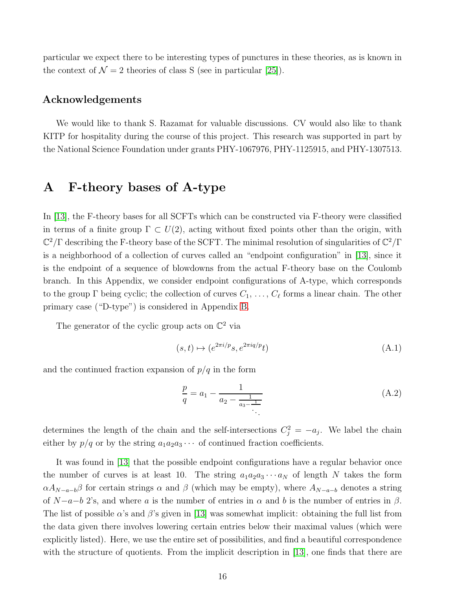particular we expect there to be interesting types of punctures in these theories, as is known in the context of  $\mathcal{N} = 2$  theories of class S (see in particular [\[25\]](#page-26-3)).

#### Acknowledgements

We would like to thank S. Razamat for valuable discussions. CV would also like to thank KITP for hospitality during the course of this project. This research was supported in part by the National Science Foundation under grants PHY-1067976, PHY-1125915, and PHY-1307513.

# <span id="page-17-0"></span>A F-theory bases of A-type

In [\[13\]](#page-25-4), the F-theory bases for all SCFTs which can be constructed via F-theory were classified in terms of a finite group  $\Gamma \subset U(2)$ , acting without fixed points other than the origin, with  $\mathbb{C}^2/\Gamma$  describing the F-theory base of the SCFT. The minimal resolution of singularities of  $\mathbb{C}^2/\Gamma$ is a neighborhood of a collection of curves called an "endpoint configuration" in [\[13\]](#page-25-4), since it is the endpoint of a sequence of blowdowns from the actual F-theory base on the Coulomb branch. In this Appendix, we consider endpoint configurations of A-type, which corresponds to the group  $\Gamma$  being cyclic; the collection of curves  $C_1, \ldots, C_{\ell}$  forms a linear chain. The other primary case ("D-type") is considered in Appendix [B.](#page-23-0)

The generator of the cyclic group acts on  $\mathbb{C}^2$  via

$$
(s,t) \mapsto (e^{2\pi i/p}s, e^{2\pi i q/p}t)
$$
\n(A.1)

and the continued fraction expansion of  $p/q$  in the form

$$
\frac{p}{q} = a_1 - \frac{1}{a_2 - \frac{1}{a_3 - \frac{1}{\ddots}}}
$$
(A.2)

determines the length of the chain and the self-intersections  $C_j^2 = -a_j$ . We label the chain either by  $p/q$  or by the string  $a_1a_2a_3\cdots$  of continued fraction coefficients.

It was found in [\[13\]](#page-25-4) that the possible endpoint configurations have a regular behavior once the number of curves is at least 10. The string  $a_1a_2a_3\cdots a_N$  of length N takes the form  $\alpha A_{N-a-b}\beta$  for certain strings  $\alpha$  and  $\beta$  (which may be empty), where  $A_{N-a-b}$  denotes a string of  $N-a-b$  2's, and where a is the number of entries in  $\alpha$  and b is the number of entries in  $\beta$ . The list of possible  $\alpha$ 's and  $\beta$ 's given in [\[13\]](#page-25-4) was somewhat implicit: obtaining the full list from the data given there involves lowering certain entries below their maximal values (which were explicitly listed). Here, we use the entire set of possibilities, and find a beautiful correspondence with the structure of quotients. From the implicit description in [\[13\]](#page-25-4), one finds that there are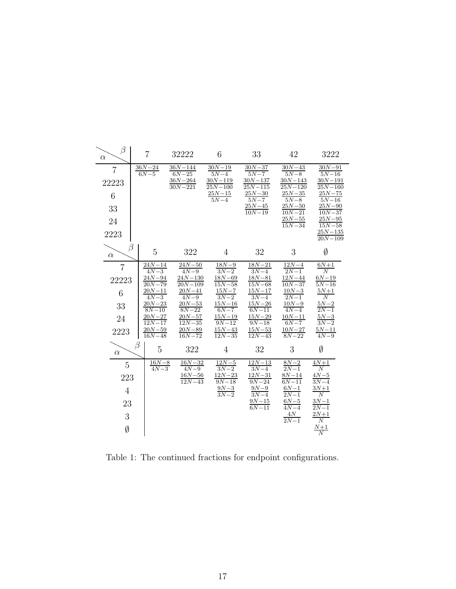| β<br>$\alpha$  | $\overline{7}$ |                         | 32222                      | 6                          | 33                        | 42                        | 3222                      |
|----------------|----------------|-------------------------|----------------------------|----------------------------|---------------------------|---------------------------|---------------------------|
| $\overline{7}$ |                | $\frac{36N-24}{6N-5}$   | $36N - 144$<br>$6N - 25$   | $\frac{30N-19}{5N-4}$      | $\frac{30N-37}{5N-7}$     | $\frac{30N-43}{5N-8}$     | $\frac{30N-91}{5N-16}$    |
| 22223          |                |                         | $36N - 264$<br>$30N - 221$ | $30N - 119$<br>$25N - 100$ | $\frac{30N-137}{25N-115}$ | $\frac{30N-143}{25N-120}$ | $\frac{30N-191}{25N-160}$ |
| 6              |                |                         |                            | $\frac{25N-15}{5N-4}$      | $\frac{25N-30}{5N-7}$     | $\frac{25N-35}{5N-8}$     | $\frac{25N-75}{5N-16}$    |
| 33             |                |                         |                            |                            | $\frac{25N-45}{10N-19}$   | $\frac{25N-50}{10N-21}$   | $\frac{25N-90}{10N-37}$   |
| 24             |                |                         |                            |                            |                           | $\frac{25N-55}{15N-34}$   | $\frac{25N-95}{15N-58}$   |
| 2223           |                |                         |                            |                            |                           |                           | $\frac{25N-135}{20N-109}$ |
| $\alpha$       | β              | 5                       | 322                        | 4                          | 32                        | 3                         | Ø                         |
| $\overline{7}$ |                | $\frac{24N-14}{4N-3}$   | $24N - 50$<br>$4N - 9$     | $18N - 9$<br>$3N-2$        | $18N - 21$<br>$3N-4$      | $\frac{12N-4}{2N-1}$      | $\frac{6N+1}{N}$          |
| 22223          |                | $\frac{24N-94}{20N-79}$ | $\frac{24N-130}{20N-109}$  | $\frac{18N-69}{15N-58}$    | $\frac{18N-81}{15N-68}$   | $\frac{12N-44}{10N-37}$   | $\frac{6N-19}{5N-16}$     |
| 6              |                | $\frac{20N-11}{4N-3}$   | $\frac{20N-41}{4N-9}$      | $\frac{15N-7}{3N-2}$       | $\frac{15N-17}{3N-4}$     | $\frac{10N-3}{2N-1}$      | $\frac{5N+1}{N}$          |
| 33             |                | $\frac{20N-23}{8N-10}$  | $\frac{20N-53}{8N-22}$     | $\frac{15N-16}{6N-7}$      | $\frac{15N-26}{6N-11}$    | $\frac{10N-9}{4N-4}$      | $\frac{5N-2}{2N-1}$       |
| 24             |                | $\frac{20N-27}{12N-17}$ | $\frac{20N-57}{12N-35}$    | $\frac{15N-19}{9N-12}$     | $\frac{15N-29}{9N-18}$    | $\frac{10N-11}{6N-7}$     | $\frac{5N-3}{3N-2}$       |
| 2223           |                | $\frac{20N-59}{16N-48}$ | $\frac{20N-89}{16N-72}$    | $\frac{15N-43}{12N-35}$    | $\frac{15N-53}{12N-43}$   | $\frac{10N-27}{8N-22}$    | $\frac{5N-11}{4N-9}$      |
| $\alpha$       | β              | 5                       | 322                        | $\overline{4}$             | 32                        | 3                         | $\emptyset$               |
| 5              |                | $\frac{16N-8}{4N-3}$    | $\frac{16N-32}{4N-9}$      | $\frac{12N-5}{3N-2}$       | $\frac{12N-13}{3N-4}$     | $\frac{8N-2}{2N-1}$       | $\frac{4N+1}{N}$          |
| 223            |                |                         | $16N - 56$<br>$12N - 43$   | $\frac{12N-23}{9N-18}$     | $\frac{12N-31}{9N-24}$    | $\frac{8N-14}{6N-11}$     | $\frac{4N-5}{3N-4}$       |
| 4              |                |                         |                            | $\frac{9N-3}{3N-2}$        | $\frac{9N-9}{3N-4}$       | $\frac{6N-1}{2N-1}$       | $\frac{3N+1}{N}$          |
| 23             |                |                         |                            |                            | $\frac{9N-15}{6N-11}$     | $\frac{6N-5}{4N-4}$       | $\frac{3N-1}{2N-1}$       |
| 3              |                |                         |                            |                            |                           | $\frac{4N}{2N-1}$         | $\frac{2N+1}{N}$          |
| Ø              |                |                         |                            |                            |                           |                           | $\frac{N+1}{N}$           |
|                |                |                         |                            |                            |                           |                           |                           |

<span id="page-18-0"></span>Table 1: The continued fractions for endpoint configurations.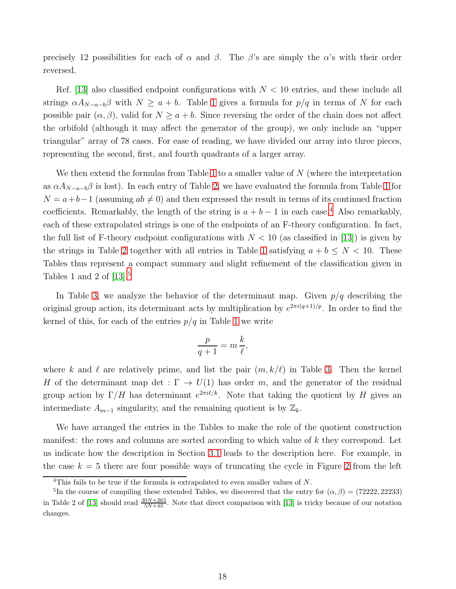precisely 12 possibilities for each of  $\alpha$  and  $\beta$ . The  $\beta$ 's are simply the  $\alpha$ 's with their order reversed.

Ref. [\[13\]](#page-25-4) also classified endpoint configurations with  $N < 10$  entries, and these include all strings  $\alpha A_{N-a-b}\beta$  with  $N \ge a+b$ . Table [1](#page-18-0) gives a formula for  $p/q$  in terms of N for each possible pair  $(\alpha, \beta)$ , valid for  $N \ge a+b$ . Since reversing the order of the chain does not affect the orbifold (although it may affect the generator of the group), we only include an "upper triangular" array of 78 cases. For ease of reading, we have divided our array into three pieces, representing the second, first, and fourth quadrants of a larger array.

We then extend the formulas from Table [1](#page-18-0) to a smaller value of N (where the interpretation as  $\alpha A_{N-a-b}\beta$  is lost). In each entry of Table [2,](#page-20-0) we have evaluated the formula from Table [1](#page-18-0) for  $N = a + b - 1$  (assuming  $ab \neq 0$ ) and then expressed the result in terms of its continued fraction coefficients. Remarkably, the length of the string is  $a + b - 1$  in each case.<sup>[4](#page-19-0)</sup> Also remarkably, each of these extrapolated strings is one of the endpoints of an F-theory configuration. In fact, the full list of F-theory endpoint configurations with  $N < 10$  (as classified in [\[13\]](#page-25-4)) is given by the strings in Table [2](#page-20-0) together with all entries in Table [1](#page-18-0) satisfying  $a + b \le N < 10$ . These Tables thus represent a compact summary and slight refinement of the classification given in Tables 1 and 2 of  $[13]$ <sup>[5](#page-19-1)</sup>

In Table [3,](#page-21-0) we analyze the behavior of the determinant map. Given  $p/q$  describing the original group action, its determinant acts by multiplication by  $e^{2\pi i(q+1)/p}$ . In order to find the kernel of this, for each of the entries  $p/q$  in Table [1](#page-18-0) we write

$$
\frac{p}{q+1} = m\,\frac{k}{\ell},
$$

where k and l are relatively prime, and list the pair  $(m, k/\ell)$  in Table [3.](#page-21-0) Then the kernel H of the determinant map det :  $\Gamma \to U(1)$  has order m, and the generator of the residual group action by  $\Gamma/H$  has determinant  $e^{2\pi i l/k}$ . Note that taking the quotient by H gives an intermediate  $A_{m-1}$  singularity, and the remaining quotient is by  $\mathbb{Z}_k$ .

We have arranged the entries in the Tables to make the role of the quotient construction manifest: the rows and columns are sorted according to which value of k they correspond. Let us indicate how the description in Section [3.1](#page-8-0) leads to the description here. For example, in the case  $k = 5$  there are four possible ways of truncating the cycle in Figure [2](#page-9-1) from the left

<span id="page-19-0"></span><sup>&</sup>lt;sup>4</sup>This fails to be true if the formula is extrapolated to even smaller values of  $N$ .

<span id="page-19-1"></span><sup>&</sup>lt;sup>5</sup>In the course of compiling these extended Tables, we discovered that the entry for  $(\alpha, \beta) = (72222, 22233)$ in Table 2 of [\[13\]](#page-25-4) should read  $\frac{30N+263}{5N+43}$ . Note that direct comparison with [13] is tricky because of our notation changes.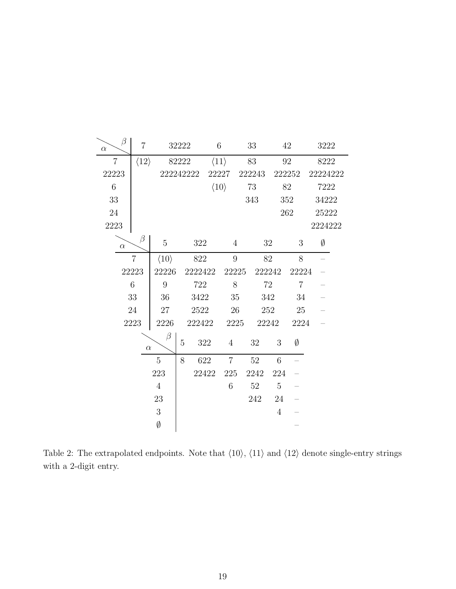| $\beta$<br>$\alpha$ | $\overline{7}$       |                      | 32222     |                | 6                    |      | 33<br>42         |        |                | 3222     |  |
|---------------------|----------------------|----------------------|-----------|----------------|----------------------|------|------------------|--------|----------------|----------|--|
| $\overline{7}$      | $\langle 12 \rangle$ |                      | 82222     |                | $\langle 11 \rangle$ |      | 83<br>92         |        |                | 8222     |  |
| 22223               |                      |                      | 222242222 |                | 22227                |      | 222243<br>222252 |        |                | 22224222 |  |
| $6\,$               |                      |                      |           |                | $\langle 10 \rangle$ |      | $73\,$           | $82\,$ |                | 7222     |  |
| 33                  |                      |                      |           |                |                      |      | 343              | 352    |                | 34222    |  |
| 24                  |                      |                      |           |                |                      |      |                  | 262    |                | 25222    |  |
| 2223                |                      |                      |           |                |                      |      |                  |        |                | 2224222  |  |
| $\alpha$            | $\beta$              | 5                    |           | 322            | $\overline{4}$       |      | 32               |        | 3              | Ø        |  |
|                     | 7                    | $\langle 10 \rangle$ |           | 822            | 9                    |      | 82               |        | 8              |          |  |
|                     | 22223                | 22226                |           | 2222422        | 22225                |      | 222242           |        | 22224          |          |  |
|                     | 6                    | $\boldsymbol{9}$     |           | 722            | 8                    |      | 72               |        | $\overline{7}$ |          |  |
|                     | $33\,$               | 36                   |           | 3422           | 35                   |      | 342              |        | 34             |          |  |
| $24\,$              |                      | $27\,$               |           | 2522           | $26\,$               |      | 252              |        | 25             |          |  |
|                     | 2223                 | 2226                 |           | 222422         | 2225                 |      | 22242            |        | 2224           |          |  |
| $\beta$<br>$\alpha$ |                      | 5                    | $322\,$   | $\overline{4}$ |                      | 32   | 3                | Ø      |                |          |  |
| 5                   |                      | 8                    | 622       | $\overline{7}$ |                      | 52   | 6                |        |                |          |  |
| 223                 |                      |                      | 22422     | 225            |                      | 2242 | 224              |        |                |          |  |
| $\overline{4}$      |                      |                      |           | $\,6\,$        |                      | 52   | $\overline{5}$   |        |                |          |  |
| 23                  |                      |                      |           |                |                      | 242  | 24               |        |                |          |  |
| $\sqrt{3}$          |                      |                      |           |                |                      |      | $\overline{4}$   |        |                |          |  |
|                     |                      | $\emptyset$          |           |                |                      |      |                  |        |                |          |  |

<span id="page-20-0"></span>Table 2: The extrapolated endpoints. Note that  $\langle 10 \rangle$ ,  $\langle 11 \rangle$  and  $\langle 12 \rangle$  denote single-entry strings with a 2-digit entry.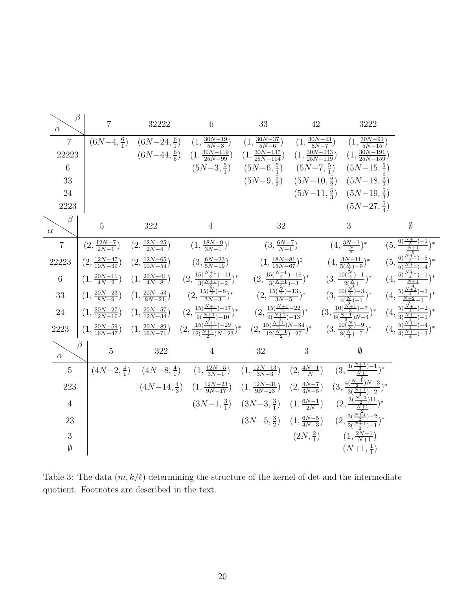| $\beta$<br>$\alpha$     | $\overline{7}$                         | 32222                                                                                                                                                                                                                                                       | $6\phantom{.}6$                                                                                                                                                     | 33                                       | 42                                       | 3222                                                                                                                                     |                                                                                                                                                                                      |
|-------------------------|----------------------------------------|-------------------------------------------------------------------------------------------------------------------------------------------------------------------------------------------------------------------------------------------------------------|---------------------------------------------------------------------------------------------------------------------------------------------------------------------|------------------------------------------|------------------------------------------|------------------------------------------------------------------------------------------------------------------------------------------|--------------------------------------------------------------------------------------------------------------------------------------------------------------------------------------|
| $\overline{7}$<br>22223 |                                        | $(6N-4, \frac{6}{1})$ $(6N-24, \frac{6}{1})$<br>$(6N-44,\frac{6}{5})$                                                                                                                                                                                       | $\left(1, \frac{30N-19}{5N-3}\right)$ $\left(1, \frac{30N-37}{5N-6}\right)$<br>$\left(1, \frac{30N-119}{25N-99}\right)$                                             | $\left(1,\frac{30N-137}{25N-114}\right)$ | $\left(1,\frac{30N-143}{25N-119}\right)$ | $(1, \frac{30N-43}{5N-7})$ $(1, \frac{30N-91}{5N-15})$<br>$\left(1,\frac{30N-191}{25N-159}\right)$                                       |                                                                                                                                                                                      |
| 6                       |                                        |                                                                                                                                                                                                                                                             | $(5N-3,\frac{5}{1})$                                                                                                                                                |                                          |                                          | $(5N-6,\frac{5}{1})$ $(5N-7,\frac{5}{1})$ $(5N-15,\frac{5}{1})$                                                                          |                                                                                                                                                                                      |
| 33                      |                                        |                                                                                                                                                                                                                                                             |                                                                                                                                                                     |                                          |                                          | $(5N-9,\frac{5}{2})$ $(5N-10,\frac{5}{2})$ $(5N-18,\frac{5}{2})$                                                                         |                                                                                                                                                                                      |
| 24                      |                                        |                                                                                                                                                                                                                                                             |                                                                                                                                                                     |                                          |                                          | $(5N-11,\frac{5}{3})$ $(5N-19,\frac{5}{3})$                                                                                              |                                                                                                                                                                                      |
| 2223                    |                                        |                                                                                                                                                                                                                                                             |                                                                                                                                                                     |                                          |                                          | $(5N-27,\frac{5}{4})$                                                                                                                    |                                                                                                                                                                                      |
| $\beta$<br>$\alpha$     | $\overline{5}$                         | 322                                                                                                                                                                                                                                                         | $\overline{4}$                                                                                                                                                      | 32                                       |                                          | 3                                                                                                                                        | Ø                                                                                                                                                                                    |
| $\overline{7}$          | $(2,\frac{12N-7}{2N-1})$               | $(2, \frac{12N-25}{2N-4})$                                                                                                                                                                                                                                  | $(1, \frac{18N-9}{3N-1})^{\dagger}$                                                                                                                                 |                                          | $(3, \frac{6N-7}{N-1})$                  | $(4, \frac{3N-1}{N})^*$                                                                                                                  | $\left(5,\frac{6(\frac{N+1}{5})-1}{\frac{N+1}{}}\right)^*$                                                                                                                           |
| 22223                   | $\left(2,\frac{12N-47}{10N-39}\right)$ | $(2, \frac{12N-65}{10N-54})$                                                                                                                                                                                                                                | $(3, \frac{6N-23}{5N-19})$                                                                                                                                          |                                          | $(1, \frac{18N-81}{15N-67})^{\ddagger}$  |                                                                                                                                          | $(4, \frac{3N-11}{5(\frac{N}{2})-9})^*$ $(5, \frac{6(\frac{N+1}{5})-5}{5(\frac{N+1}{5})-4})^*$                                                                                       |
| 6                       |                                        | $\left(1, \frac{20N-11}{4N-2}\right)$ $\left(1, \frac{20N-41}{4N-8}\right)$                                                                                                                                                                                 | $(2, \frac{15(\frac{N+1}{2})-11}{3(\frac{N+1}{2})-2})^*$ $(2, \frac{15(\frac{N+1}{2})-16}{3(\frac{N+1}{2})-3})^*$ $(3, \frac{10(\frac{N}{3})-1}{2(\frac{N}{3})})^*$ |                                          |                                          |                                                                                                                                          | $(4, \frac{5(\frac{N+1}{4})-1}{N+1})^*$                                                                                                                                              |
| 33                      | $\left(1, \frac{20N-23}{8N-9}\right)$  | $\left(1, \frac{20N-53}{8N-21}\right)$                                                                                                                                                                                                                      |                                                                                                                                                                     |                                          |                                          |                                                                                                                                          | $(2,\frac{15(\frac{N}{2})-8}{3N-3})^*$ $(2,\frac{15(\frac{N}{2})-13}{3N-5})^*$ $(3,\frac{10(\frac{N}{2})-3}{4(\frac{N}{2})-1})^*$ $(4,\frac{5(\frac{N+3}{4})-3}{\frac{N+2}{2}-1})^*$ |
| 24                      | $\left(1,\frac{20N-27}{12N-16}\right)$ | $(1,\frac{20N-57}{12N-34})$ $(2,\frac{15(\frac{N+1}{2})-17}{9(\frac{N+1}{2})-10})^*$ $(2,\frac{15(\frac{N+1}{2}-22)}{9(\frac{N+1}{2})-13})^*$ $(3,\frac{10(\frac{N+1}{3})-7}{6(\frac{N+1}{2})N-4})^*$ $(4,\frac{5(\frac{N+1}{4})-2}{3(\frac{N+1}{4})-1})^*$ |                                                                                                                                                                     |                                          |                                          |                                                                                                                                          |                                                                                                                                                                                      |
| 2223                    | $(1, \frac{20N-59}{16N-47})$           | $(1,\frac{20N-89}{16N-71})$ $(2,\frac{15(\frac{N+1}{2})-29}{12(\frac{N+1}{2})N-23})^*$ $(2,\frac{15(\frac{N+1}{2})N-34}{12(\frac{N+1}{2})-27})^*$ $(3,\frac{10(\frac{N}{3})-9}{8(\frac{N}{3})-7})^*$ $(4,\frac{5(\frac{N+1}{4})-4}{4(\frac{N+1}{2})-3})^*$  |                                                                                                                                                                     |                                          |                                          |                                                                                                                                          |                                                                                                                                                                                      |
| $\alpha$                | $\overline{5}$                         | 322                                                                                                                                                                                                                                                         | $\overline{4}$                                                                                                                                                      | 32                                       | 3                                        | Ø                                                                                                                                        |                                                                                                                                                                                      |
| $\overline{5}$          |                                        | $(4N-2,\frac{4}{1})$ $(4N-8,\frac{4}{1})$                                                                                                                                                                                                                   |                                                                                                                                                                     |                                          |                                          | $(1, \frac{12N-5}{3N-1})$ $(1, \frac{12N-13}{3N-3})$ $(2, \frac{4N-1}{N})$ $(3, \frac{4(\frac{N+1}{3})-1}{\frac{N+1}{N}})^*$             |                                                                                                                                                                                      |
| 223                     |                                        | $(4N-14,\frac{4}{3})$                                                                                                                                                                                                                                       |                                                                                                                                                                     |                                          |                                          | $(1, \frac{12N-23}{9N-17})$ $(1, \frac{12N-31}{9N-23})$ $(2, \frac{4N-7}{3N-5})$ $(3, \frac{4(\frac{N+1}{3})N-3}{3(\frac{N+1}{3})-2})^*$ |                                                                                                                                                                                      |
| $\overline{4}$          |                                        |                                                                                                                                                                                                                                                             |                                                                                                                                                                     |                                          |                                          | $(3N-1, \frac{3}{1})$ $(3N-3, \frac{3}{1})$ $(1, \frac{6N-1}{2N})$ $(2, \frac{3(\frac{N+1}{2})11}{N+1})^*$                               |                                                                                                                                                                                      |
| 23                      |                                        |                                                                                                                                                                                                                                                             |                                                                                                                                                                     |                                          |                                          | $(3N-5,\frac{3}{2})$ $(1,\frac{6N-5}{4N-3})$ $(2,\frac{3(\frac{N+5}{2})-2}{2(\frac{N+1}{2})-1})^*$                                       |                                                                                                                                                                                      |
| 3                       |                                        |                                                                                                                                                                                                                                                             |                                                                                                                                                                     |                                          | $(2N,\frac{2}{1})$                       | $(1, \frac{2N+1}{N+1})$                                                                                                                  |                                                                                                                                                                                      |
| Ø                       |                                        |                                                                                                                                                                                                                                                             |                                                                                                                                                                     |                                          |                                          | $(N+1,\frac{1}{1})$                                                                                                                      |                                                                                                                                                                                      |

<span id="page-21-0"></span>Table 3: The data  $(m, k/\ell)$  determining the structure of the kernel of det and the intermediate quotient. Footnotes are described in the text.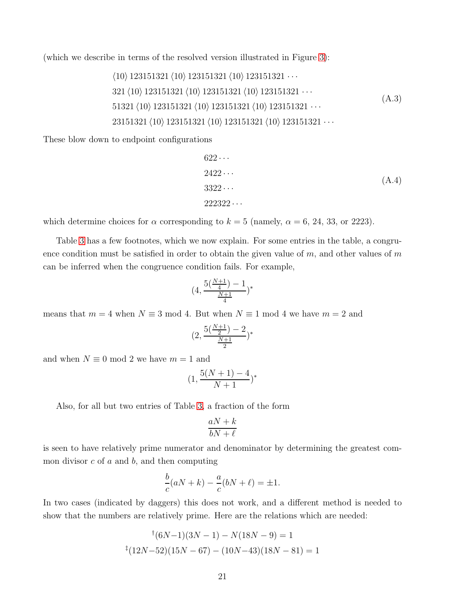(which we describe in terms of the resolved version illustrated in Figure [3\)](#page-11-0):

$$
\langle 10 \rangle 123151321 \langle 10 \rangle 123151321 \langle 10 \rangle 123151321 \cdots
$$
  
321 
$$
\langle 10 \rangle 123151321 \langle 10 \rangle 123151321 \langle 10 \rangle 123151321 \cdots
$$
  
51321 
$$
\langle 10 \rangle 123151321 \langle 10 \rangle 123151321 \langle 10 \rangle 123151321 \cdots
$$
  
23151321 
$$
\langle 10 \rangle 123151321 \langle 10 \rangle 123151321 \langle 10 \rangle 123151321 \cdots
$$
 (A.3)

These blow down to endpoint configurations

$$
622 \cdots
$$
\n
$$
2422 \cdots
$$
\n
$$
3322 \cdots
$$
\n
$$
222322 \cdots
$$
\n(A.4)

which determine choices for  $\alpha$  corresponding to  $k = 5$  (namely,  $\alpha = 6, 24, 33$ , or 2223).

Table [3](#page-21-0) has a few footnotes, which we now explain. For some entries in the table, a congruence condition must be satisfied in order to obtain the given value of  $m$ , and other values of  $m$ can be inferred when the congruence condition fails. For example,

$$
(4, \frac{5(\frac{N+1}{4}) - 1}{\frac{N+1}{4}})^*
$$

means that  $m = 4$  when  $N \equiv 3 \mod 4$ . But when  $N \equiv 1 \mod 4$  we have  $m = 2$  and

$$
(2, \frac{5(\frac{N+1}{2}) - 2}{\frac{N+1}{2}})^*
$$

and when  $N \equiv 0 \mod 2$  we have  $m = 1$  and

$$
(1, \frac{5(N+1) - 4}{N+1})^*
$$

Also, for all but two entries of Table [3,](#page-21-0) a fraction of the form

$$
\frac{aN+k}{bN+\ell}
$$

is seen to have relatively prime numerator and denominator by determining the greatest common divisor  $c$  of  $a$  and  $b$ , and then computing

$$
\frac{b}{c}(aN+k) - \frac{a}{c}(bN+\ell) = \pm 1.
$$

In two cases (indicated by daggers) this does not work, and a different method is needed to show that the numbers are relatively prime. Here are the relations which are needed:

$$
^{\dagger}(6N-1)(3N-1) - N(18N-9) = 1
$$
  

$$
^{\dagger}(12N-52)(15N-67) - (10N-43)(18N-81) = 1
$$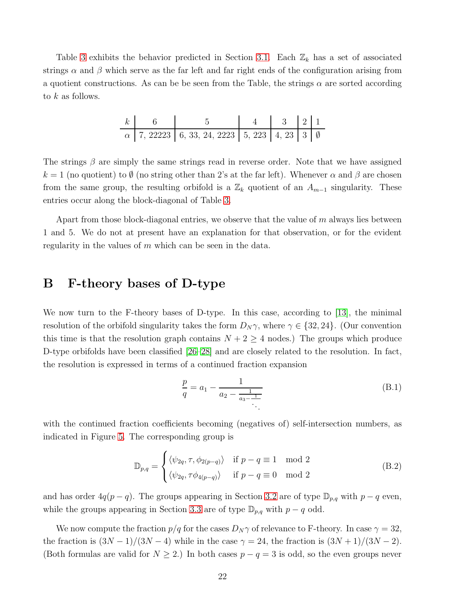Table [3](#page-21-0) exhibits the behavior predicted in Section [3.1.](#page-8-0) Each  $\mathbb{Z}_k$  has a set of associated strings  $\alpha$  and  $\beta$  which serve as the far left and far right ends of the configuration arising from a quotient constructions. As can be be seen from the Table, the strings  $\alpha$  are sorted according to  $k$  as follows.

| $k$ 6 |                                                                | $\begin{array}{ c c c c c c } \hline 4 & 3 & 2 & 1 \\ \hline \end{array}$ |  |  |
|-------|----------------------------------------------------------------|---------------------------------------------------------------------------|--|--|
|       | $\alpha$   7, 22223   6, 33, 24, 2223   5, 223   4, 23   3   0 |                                                                           |  |  |

The strings  $\beta$  are simply the same strings read in reverse order. Note that we have assigned  $k = 1$  (no quotient) to  $\emptyset$  (no string other than 2's at the far left). Whenever  $\alpha$  and  $\beta$  are chosen from the same group, the resulting orbifold is a  $\mathbb{Z}_k$  quotient of an  $A_{m-1}$  singularity. These entries occur along the block-diagonal of Table [3.](#page-21-0)

Apart from those block-diagonal entries, we observe that the value of  $m$  always lies between 1 and 5. We do not at present have an explanation for that observation, or for the evident regularity in the values of  $m$  which can be seen in the data.

# <span id="page-23-0"></span>B F-theory bases of D-type

We now turn to the F-theory bases of D-type. In this case, according to [\[13\]](#page-25-4), the minimal resolution of the orbifold singularity takes the form  $D_N \gamma$ , where  $\gamma \in \{32, 24\}$ . (Our convention this time is that the resolution graph contains  $N + 2 \geq 4$  nodes.) The groups which produce D-type orbifolds have been classified [\[26](#page-26-4)[–28\]](#page-26-5) and are closely related to the resolution. In fact, the resolution is expressed in terms of a continued fraction expansion

$$
\frac{p}{q} = a_1 - \frac{1}{a_2 - \frac{1}{a_3 - \frac{1}{\ddots}}}
$$
(B.1)

with the continued fraction coefficients becoming (negatives of) self-intersection numbers, as indicated in Figure [5.](#page-24-8) The corresponding group is

$$
\mathbb{D}_{p,q} = \begin{cases} \langle \psi_{2q}, \tau, \phi_{2(p-q)} \rangle & \text{if } p-q \equiv 1 \mod 2 \\ \langle \psi_{2q}, \tau \phi_{4(p-q)} \rangle & \text{if } p-q \equiv 0 \mod 2 \end{cases}
$$
(B.2)

and has order  $4q(p-q)$ . The groups appearing in Section [3.2](#page-12-0) are of type  $\mathbb{D}_{p,q}$  with  $p-q$  even, while the groups appearing in Section [3.3](#page-13-0) are of type  $\mathbb{D}_{p,q}$  with  $p - q$  odd.

We now compute the fraction  $p/q$  for the cases  $D_N \gamma$  of relevance to F-theory. In case  $\gamma = 32$ , the fraction is  $(3N-1)/(3N-4)$  while in the case  $\gamma = 24$ , the fraction is  $(3N+1)/(3N-2)$ . (Both formulas are valid for  $N \geq 2$ .) In both cases  $p - q = 3$  is odd, so the even groups never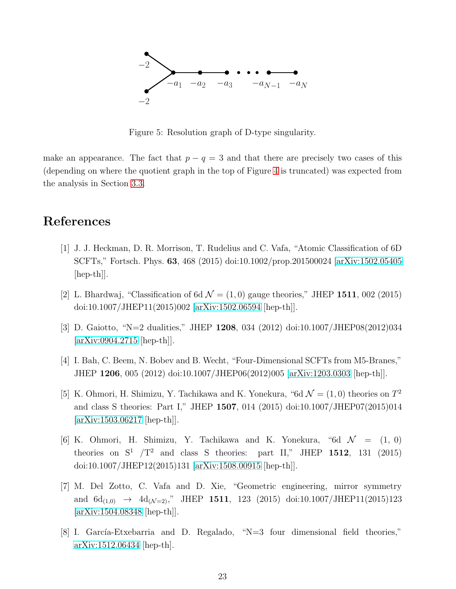

<span id="page-24-8"></span>Figure 5: Resolution graph of D-type singularity.

make an appearance. The fact that  $p - q = 3$  and that there are precisely two cases of this (depending on where the quotient graph in the top of Figure [4](#page-15-1) is truncated) was expected from the analysis in Section [3.3.](#page-13-0)

# <span id="page-24-0"></span>References

- [1] J. J. Heckman, D. R. Morrison, T. Rudelius and C. Vafa, "Atomic Classification of 6D SCFTs," Fortsch. Phys. 63, 468 (2015) doi:10.1002/prop.201500024 [\[arXiv:1502.05405](http://arxiv.org/abs/1502.05405) [hep-th]].
- <span id="page-24-2"></span><span id="page-24-1"></span>[2] L. Bhardwaj, "Classification of 6d  $\mathcal{N} = (1,0)$  gauge theories," JHEP 1511, 002 (2015) doi:10.1007/JHEP11(2015)002 [\[arXiv:1502.06594](http://arxiv.org/abs/1502.06594) [hep-th]].
- <span id="page-24-3"></span>[3] D. Gaiotto, "N=2 dualities," JHEP 1208, 034 (2012) doi:10.1007/JHEP08(2012)034 [\[arXiv:0904.2715](http://arxiv.org/abs/0904.2715) [hep-th]].
- <span id="page-24-4"></span>[4] I. Bah, C. Beem, N. Bobev and B. Wecht, "Four-Dimensional SCFTs from M5-Branes," JHEP 1206, 005 (2012) doi:10.1007/JHEP06(2012)005 [\[arXiv:1203.0303](http://arxiv.org/abs/1203.0303) [hep-th]].
- [5] K. Ohmori, H. Shimizu, Y. Tachikawa and K. Yonekura, "6d  $\mathcal{N} = (1,0)$  theories on  $T^2$ and class S theories: Part I," JHEP 1507, 014 (2015) doi:10.1007/JHEP07(2015)014  $\arXiv:1503.06217$  [hep-th].
- <span id="page-24-7"></span>[6] K. Ohmori, H. Shimizu, Y. Tachikawa and K. Yonekura, "6d  $\mathcal{N} = (1, 0)$ theories on  $S^1$  /T<sup>2</sup> and class S theories: part II," JHEP 1512, 131 (2015) doi:10.1007/JHEP12(2015)131 [\[arXiv:1508.00915](http://arxiv.org/abs/1508.00915) [hep-th]].
- <span id="page-24-5"></span>[7] M. Del Zotto, C. Vafa and D. Xie, "Geometric engineering, mirror symmetry and  $6d_{(1,0)} \rightarrow 4d_{(\mathcal{N}=2)}$ ," JHEP 1511, 123 (2015) doi:10.1007/JHEP11(2015)123 [\[arXiv:1504.08348](http://arxiv.org/abs/1504.08348) [hep-th]].
- <span id="page-24-6"></span>[8] I. García-Etxebarria and D. Regalado, "N=3 four dimensional field theories," [arXiv:1512.06434](http://arxiv.org/abs/1512.06434) [hep-th].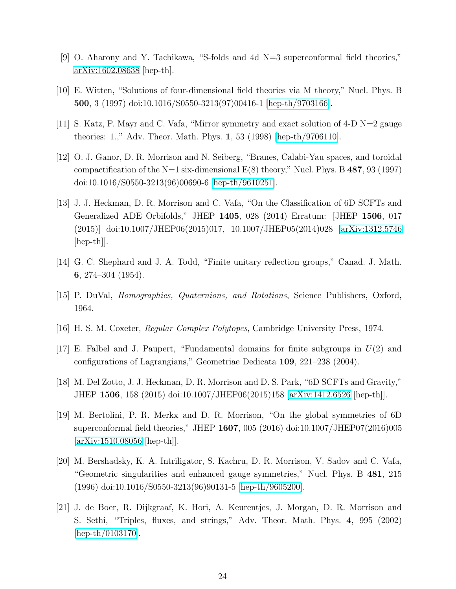- <span id="page-25-1"></span><span id="page-25-0"></span>[9] O. Aharony and Y. Tachikawa, "S-folds and 4d N=3 superconformal field theories," [arXiv:1602.08638](http://arxiv.org/abs/1602.08638) [hep-th].
- <span id="page-25-2"></span>[10] E. Witten, "Solutions of four-dimensional field theories via M theory," Nucl. Phys. B 500, 3 (1997) doi:10.1016/S0550-3213(97)00416-1 [\[hep-th/9703166\]](http://arxiv.org/abs/hep-th/9703166).
- <span id="page-25-3"></span>[11] S. Katz, P. Mayr and C. Vafa, "Mirror symmetry and exact solution of 4-D N=2 gauge theories: 1.," Adv. Theor. Math. Phys. 1, 53 (1998) [\[hep-th/9706110\]](http://arxiv.org/abs/hep-th/9706110).
- [12] O. J. Ganor, D. R. Morrison and N. Seiberg, "Branes, Calabi-Yau spaces, and toroidal compactification of the N=1 six-dimensional  $E(8)$  theory," Nucl. Phys. B 487, 93 (1997) doi:10.1016/S0550-3213(96)00690-6 [\[hep-th/9610251\]](http://arxiv.org/abs/hep-th/9610251).
- <span id="page-25-4"></span>[13] J. J. Heckman, D. R. Morrison and C. Vafa, "On the Classification of 6D SCFTs and Generalized ADE Orbifolds," JHEP 1405, 028 (2014) Erratum: [JHEP 1506, 017 (2015)] doi:10.1007/JHEP06(2015)017, 10.1007/JHEP05(2014)028 [\[arXiv:1312.5746](http://arxiv.org/abs/1312.5746) [hep-th]].
- <span id="page-25-7"></span>[14] G. C. Shephard and J. A. Todd, "Finite unitary reflection groups," Canad. J. Math. 6, 274–304 (1954).
- [15] P. DuVal, Homographies, Quaternions, and Rotations, Science Publishers, Oxford, 1964.
- <span id="page-25-8"></span>[16] H. S. M. Coxeter, Regular Complex Polytopes, Cambridge University Press, 1974.
- <span id="page-25-5"></span>[17] E. Falbel and J. Paupert, "Fundamental domains for finite subgroups in  $U(2)$  and configurations of Lagrangians," Geometriae Dedicata 109, 221–238 (2004).
- <span id="page-25-6"></span>[18] M. Del Zotto, J. J. Heckman, D. R. Morrison and D. S. Park, "6D SCFTs and Gravity," JHEP 1506, 158 (2015) doi:10.1007/JHEP06(2015)158 [\[arXiv:1412.6526](http://arxiv.org/abs/1412.6526) [hep-th]].
- [19] M. Bertolini, P. R. Merkx and D. R. Morrison, "On the global symmetries of 6D superconformal field theories," JHEP 1607, 005 (2016) doi:10.1007/JHEP07(2016)005 [\[arXiv:1510.08056](http://arxiv.org/abs/1510.08056) [hep-th]].
- <span id="page-25-9"></span>[20] M. Bershadsky, K. A. Intriligator, S. Kachru, D. R. Morrison, V. Sadov and C. Vafa, "Geometric singularities and enhanced gauge symmetries," Nucl. Phys. B 481, 215 (1996) doi:10.1016/S0550-3213(96)90131-5 [\[hep-th/9605200\]](http://arxiv.org/abs/hep-th/9605200).
- <span id="page-25-10"></span>[21] J. de Boer, R. Dijkgraaf, K. Hori, A. Keurentjes, J. Morgan, D. R. Morrison and S. Sethi, "Triples, fluxes, and strings," Adv. Theor. Math. Phys. 4, 995 (2002) [\[hep-th/0103170\]](http://arxiv.org/abs/hep-th/0103170).